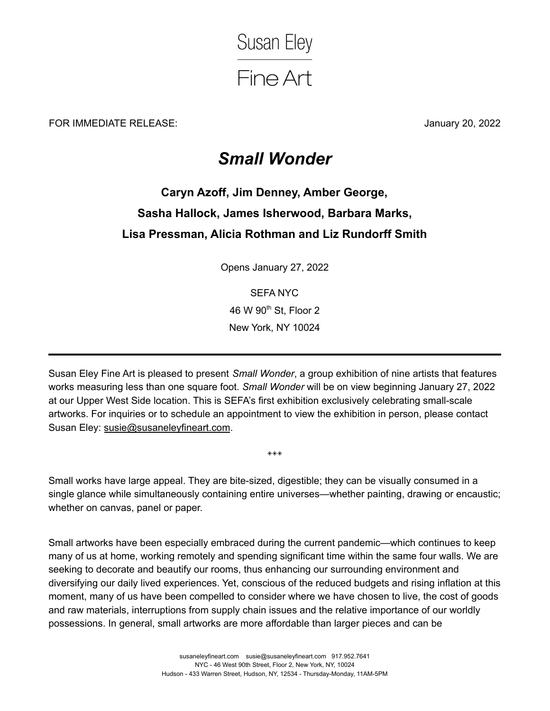

FOR IMMEDIATE RELEASE: January 20, 2022

## *Small Wonder*

## **Caryn Azoff, Jim Denney, Amber George, Sasha Hallock, James Isherwood, Barbara Marks, Lisa Pressman, Alicia Rothman and Liz Rundorff Smith**

Opens January 27, 2022

SEFA NYC 46 W 90<sup>th</sup> St, Floor 2 New York, NY 10024

Susan Eley Fine Art is pleased to present *Small Wonder*, a group exhibition of nine artists that features works measuring less than one square foot. *Small Wonder* will be on view beginning January 27, 2022 at our Upper West Side location. This is SEFA's first exhibition exclusively celebrating small-scale artworks. For inquiries or to schedule an appointment to view the exhibition in person, please contact Susan Eley: [susie@susaneleyfineart.com](mailto:susie@susaneleyfineart.com).

Small works have large appeal. They are bite-sized, digestible; they can be visually consumed in a single glance while simultaneously containing entire universes—whether painting, drawing or encaustic; whether on canvas, panel or paper.

◈◈◈

Small artworks have been especially embraced during the current pandemic—which continues to keep many of us at home, working remotely and spending significant time within the same four walls. We are seeking to decorate and beautify our rooms, thus enhancing our surrounding environment and diversifying our daily lived experiences. Yet, conscious of the reduced budgets and rising inflation at this moment, many of us have been compelled to consider where we have chosen to live, the cost of goods and raw materials, interruptions from supply chain issues and the relative importance of our worldly possessions. In general, small artworks are more affordable than larger pieces and can be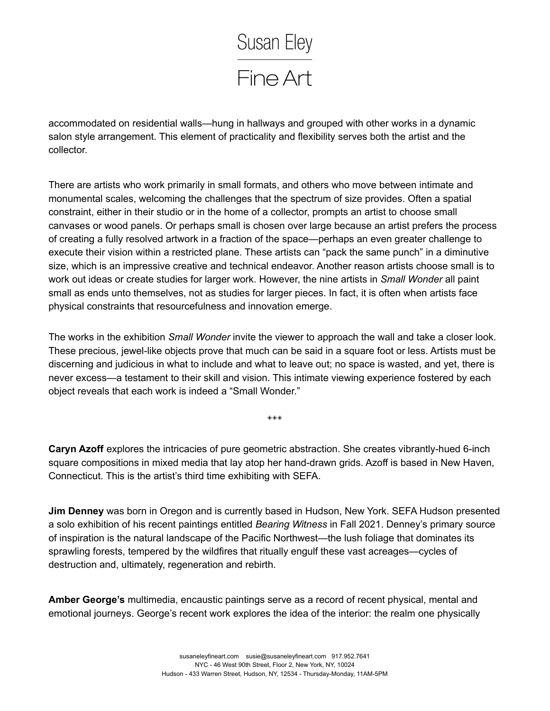

accommodated on residential walls—hung in hallways and grouped with other works in a dynamic salon style arrangement. This element of practicality and flexibility serves both the artist and the collector.

There are artists who work primarily in small formats, and others who move between intimate and monumental scales, welcoming the challenges that the spectrum of size provides. Often a spatial constraint, either in their studio or in the home of a collector, prompts an artist to choose small canvases or wood panels. Or perhaps small is chosen over large because an artist prefers the process of creating a fully resolved artwork in a fraction of the space—perhaps an even greater challenge to execute their vision within a restricted plane. These artists can "pack the same punch" in a diminutive size, which is an impressive creative and technical endeavor. Another reason artists choose small is to work out ideas or create studies for larger work. However, the nine artists in *Small Wonder* all paint small as ends unto themselves, not as studies for larger pieces. In fact, it is often when artists face physical constraints that resourcefulness and innovation emerge.

The works in the exhibition *Small Wonder* invite the viewer to approach the wall and take a closer look. These precious, jewel-like objects prove that much can be said in a square foot or less. Artists must be discerning and judicious in what to include and what to leave out; no space is wasted, and yet, there is never excess—a testament to their skill and vision. This intimate viewing experience fostered by each object reveals that each work is indeed a "Small Wonder."

**Caryn Azoff** explores the intricacies of pure geometric abstraction. She creates vibrantly-hued 6-inch square compositions in mixed media that lay atop her hand-drawn grids. Azoff is based in New Haven, Connecticut. This is the artist's third time exhibiting with SEFA.

◈◈◈

**Jim Denney** was born in Oregon and is currently based in Hudson, New York. SEFA Hudson presented a solo exhibition of his recent paintings entitled *Bearing Witness* in Fall 2021. Denney's primary source of inspiration is the natural landscape of the Pacific Northwest—the lush foliage that dominates its sprawling forests, tempered by the wildfires that ritually engulf these vast acreages—cycles of destruction and, ultimately, regeneration and rebirth.

**Amber George's** multimedia, encaustic paintings serve as a record of recent physical, mental and emotional journeys. George's recent work explores the idea of the interior: the realm one physically